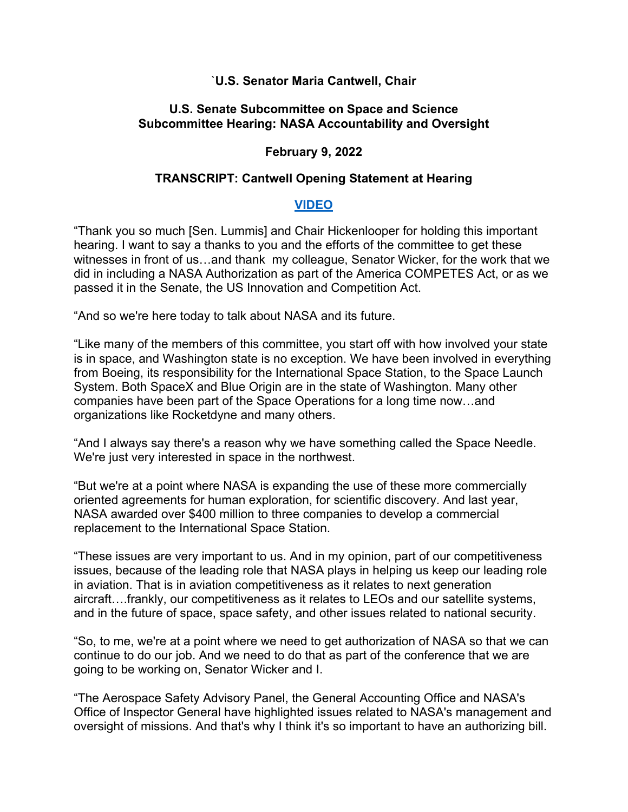# `**U.S. Senator Maria Cantwell, Chair**

# **U.S. Senate Subcommittee on Space and Science Subcommittee Hearing: NASA Accountability and Oversight**

# **February 9, 2022**

# **TRANSCRIPT: Cantwell Opening Statement at Hearing**

## **[VIDEO](https://youtu.be/hM9dAaQBDL8)**

"Thank you so much [Sen. Lummis] and Chair Hickenlooper for holding this important hearing. I want to say a thanks to you and the efforts of the committee to get these witnesses in front of us…and thank my colleague, Senator Wicker, for the work that we did in including a NASA Authorization as part of the America COMPETES Act, or as we passed it in the Senate, the US Innovation and Competition Act.

"And so we're here today to talk about NASA and its future.

"Like many of the members of this committee, you start off with how involved your state is in space, and Washington state is no exception. We have been involved in everything from Boeing, its responsibility for the International Space Station, to the Space Launch System. Both SpaceX and Blue Origin are in the state of Washington. Many other companies have been part of the Space Operations for a long time now…and organizations like Rocketdyne and many others.

"And I always say there's a reason why we have something called the Space Needle. We're just very interested in space in the northwest.

"But we're at a point where NASA is expanding the use of these more commercially oriented agreements for human exploration, for scientific discovery. And last year, NASA awarded over \$400 million to three companies to develop a commercial replacement to the International Space Station.

"These issues are very important to us. And in my opinion, part of our competitiveness issues, because of the leading role that NASA plays in helping us keep our leading role in aviation. That is in aviation competitiveness as it relates to next generation aircraft….frankly, our competitiveness as it relates to LEOs and our satellite systems, and in the future of space, space safety, and other issues related to national security.

"So, to me, we're at a point where we need to get authorization of NASA so that we can continue to do our job. And we need to do that as part of the conference that we are going to be working on, Senator Wicker and I.

"The Aerospace Safety Advisory Panel, the General Accounting Office and NASA's Office of Inspector General have highlighted issues related to NASA's management and oversight of missions. And that's why I think it's so important to have an authorizing bill.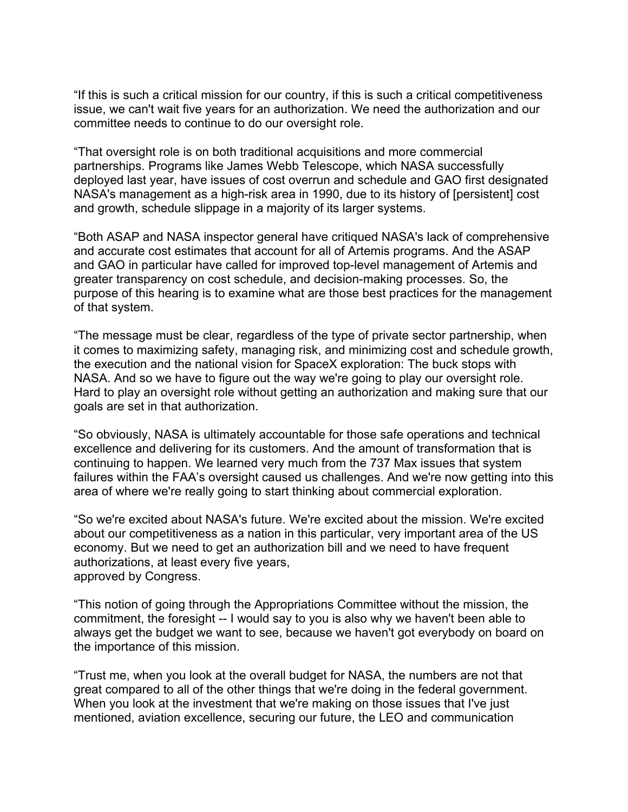"If this is such a critical mission for our country, if this is such a critical competitiveness issue, we can't wait five years for an authorization. We need the authorization and our committee needs to continue to do our oversight role.

"That oversight role is on both traditional acquisitions and more commercial partnerships. Programs like James Webb Telescope, which NASA successfully deployed last year, have issues of cost overrun and schedule and GAO first designated NASA's management as a high-risk area in 1990, due to its history of [persistent] cost and growth, schedule slippage in a majority of its larger systems.

"Both ASAP and NASA inspector general have critiqued NASA's lack of comprehensive and accurate cost estimates that account for all of Artemis programs. And the ASAP and GAO in particular have called for improved top-level management of Artemis and greater transparency on cost schedule, and decision-making processes. So, the purpose of this hearing is to examine what are those best practices for the management of that system.

"The message must be clear, regardless of the type of private sector partnership, when it comes to maximizing safety, managing risk, and minimizing cost and schedule growth, the execution and the national vision for SpaceX exploration: The buck stops with NASA. And so we have to figure out the way we're going to play our oversight role. Hard to play an oversight role without getting an authorization and making sure that our goals are set in that authorization.

"So obviously, NASA is ultimately accountable for those safe operations and technical excellence and delivering for its customers. And the amount of transformation that is continuing to happen. We learned very much from the 737 Max issues that system failures within the FAA's oversight caused us challenges. And we're now getting into this area of where we're really going to start thinking about commercial exploration.

"So we're excited about NASA's future. We're excited about the mission. We're excited about our competitiveness as a nation in this particular, very important area of the US economy. But we need to get an authorization bill and we need to have frequent authorizations, at least every five years, approved by Congress.

"This notion of going through the Appropriations Committee without the mission, the commitment, the foresight -- I would say to you is also why we haven't been able to always get the budget we want to see, because we haven't got everybody on board on the importance of this mission.

"Trust me, when you look at the overall budget for NASA, the numbers are not that great compared to all of the other things that we're doing in the federal government. When you look at the investment that we're making on those issues that I've just mentioned, aviation excellence, securing our future, the LEO and communication